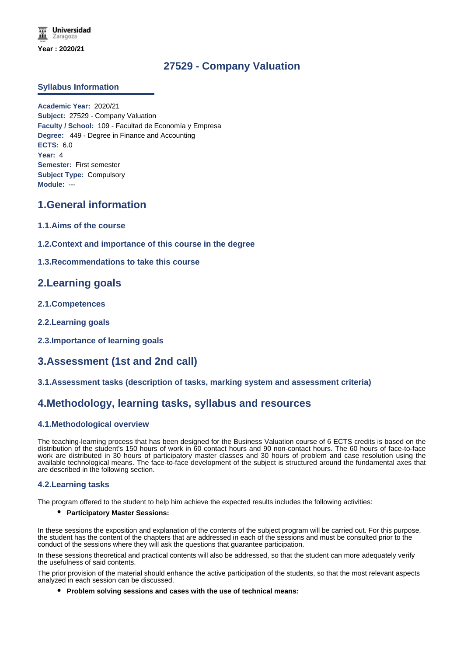# **27529 - Company Valuation**

### **Syllabus Information**

**Academic Year:** 2020/21 **Subject:** 27529 - Company Valuation **Faculty / School:** 109 - Facultad de Economía y Empresa **Degree:** 449 - Degree in Finance and Accounting **ECTS:** 6.0 **Year:** 4 **Semester:** First semester **Subject Type:** Compulsory **Module:** ---

# **1.General information**

- **1.1.Aims of the course**
- **1.2.Context and importance of this course in the degree**

## **1.3.Recommendations to take this course**

## **2.Learning goals**

- **2.1.Competences**
- **2.2.Learning goals**
- **2.3.Importance of learning goals**

# **3.Assessment (1st and 2nd call)**

### **3.1.Assessment tasks (description of tasks, marking system and assessment criteria)**

## **4.Methodology, learning tasks, syllabus and resources**

### **4.1.Methodological overview**

The teaching-learning process that has been designed for the Business Valuation course of 6 ECTS credits is based on the distribution of the student's 150 hours of work in 60 contact hours and 90 non-contact hours. The 60 hours of face-to-face work are distributed in 30 hours of participatory master classes and 30 hours of problem and case resolution using the available technological means. The face-to-face development of the subject is structured around the fundamental axes that are described in the following section.

### **4.2.Learning tasks**

The program offered to the student to help him achieve the expected results includes the following activities:

#### **Participatory Master Sessions:**

In these sessions the exposition and explanation of the contents of the subject program will be carried out. For this purpose, the student has the content of the chapters that are addressed in each of the sessions and must be consulted prior to the conduct of the sessions where they will ask the questions that guarantee participation.

In these sessions theoretical and practical contents will also be addressed, so that the student can more adequately verify the usefulness of said contents.

The prior provision of the material should enhance the active participation of the students, so that the most relevant aspects analyzed in each session can be discussed.

**Problem solving sessions and cases with the use of technical means:**